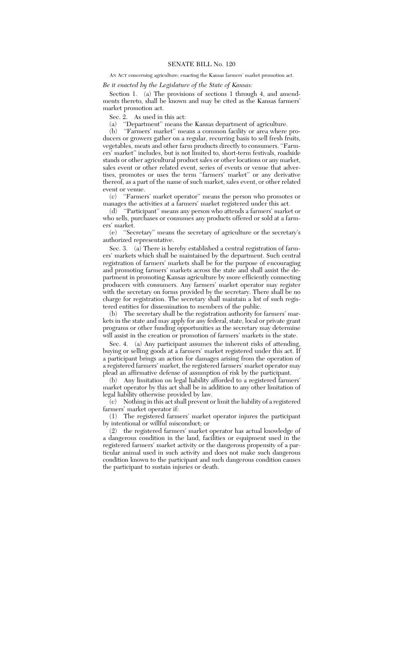## AN ACT concerning agriculture; enacting the Kansas farmers' market promotion act.

## *Be it enacted by the Legislature of the State of Kansas:*

Section 1. (a) The provisions of sections 1 through 4, and amendments thereto, shall be known and may be cited as the Kansas farmers' market promotion act.

Sec. 2. As used in this act:

(a) ''Department'' means the Kansas department of agriculture.

(b) ''Farmers' market'' means a common facility or area where producers or growers gather on a regular, recurring basis to sell fresh fruits, vegetables, meats and other farm products directly to consumers. ''Farmers' market'' includes, but is not limited to, short-term festivals, roadside stands or other agricultural product sales or other locations or any market, sales event or other related event, series of events or venue that advertises, promotes or uses the term ''farmers' market'' or any derivative thereof, as a part of the name of such market, sales event, or other related event or venue.

(c) ''Farmers' market operator'' means the person who promotes or manages the activities at a farmers' market registered under this act.

(d) ''Participant'' means any person who attends a farmers' market or who sells, purchases or consumes any products offered or sold at a farmers' market.

(e) ''Secretary'' means the secretary of agriculture or the secretary's authorized representative.

Sec. 3. (a) There is hereby established a central registration of farmers' markets which shall be maintained by the department. Such central registration of farmers' markets shall be for the purpose of encouraging and promoting farmers' markets across the state and shall assist the department in promoting Kansas agriculture by more efficiently connecting producers with consumers. Any farmers' market operator may register with the secretary on forms provided by the secretary. There shall be no charge for registration. The secretary shall maintain a list of such registered entities for dissemination to members of the public.

(b) The secretary shall be the registration authority for farmers' markets in the state and may apply for any federal, state, local or private grant programs or other funding opportunities as the secretary may determine will assist in the creation or promotion of farmers' markets in the state.

Sec. 4. (a) Any participant assumes the inherent risks of attending, buying or selling goods at a farmers' market registered under this act. If a participant brings an action for damages arising from the operation of a registered farmers' market, the registered farmers' market operator may plead an affirmative defense of assumption of risk by the participant.

(b) Any limitation on legal liability afforded to a registered farmers' market operator by this act shall be in addition to any other limitation of legal liability otherwise provided by law.

 $\phi$  Nothing in this act shall prevent or limit the liability of a registered farmers' market operator if:

(1) The registered farmers' market operator injures the participant by intentional or willful misconduct; or

(2) the registered farmers' market operator has actual knowledge of a dangerous condition in the land, facilities or equipment used in the registered farmers' market activity or the dangerous propensity of a particular animal used in such activity and does not make such dangerous condition known to the participant and such dangerous condition causes the participant to sustain injuries or death.